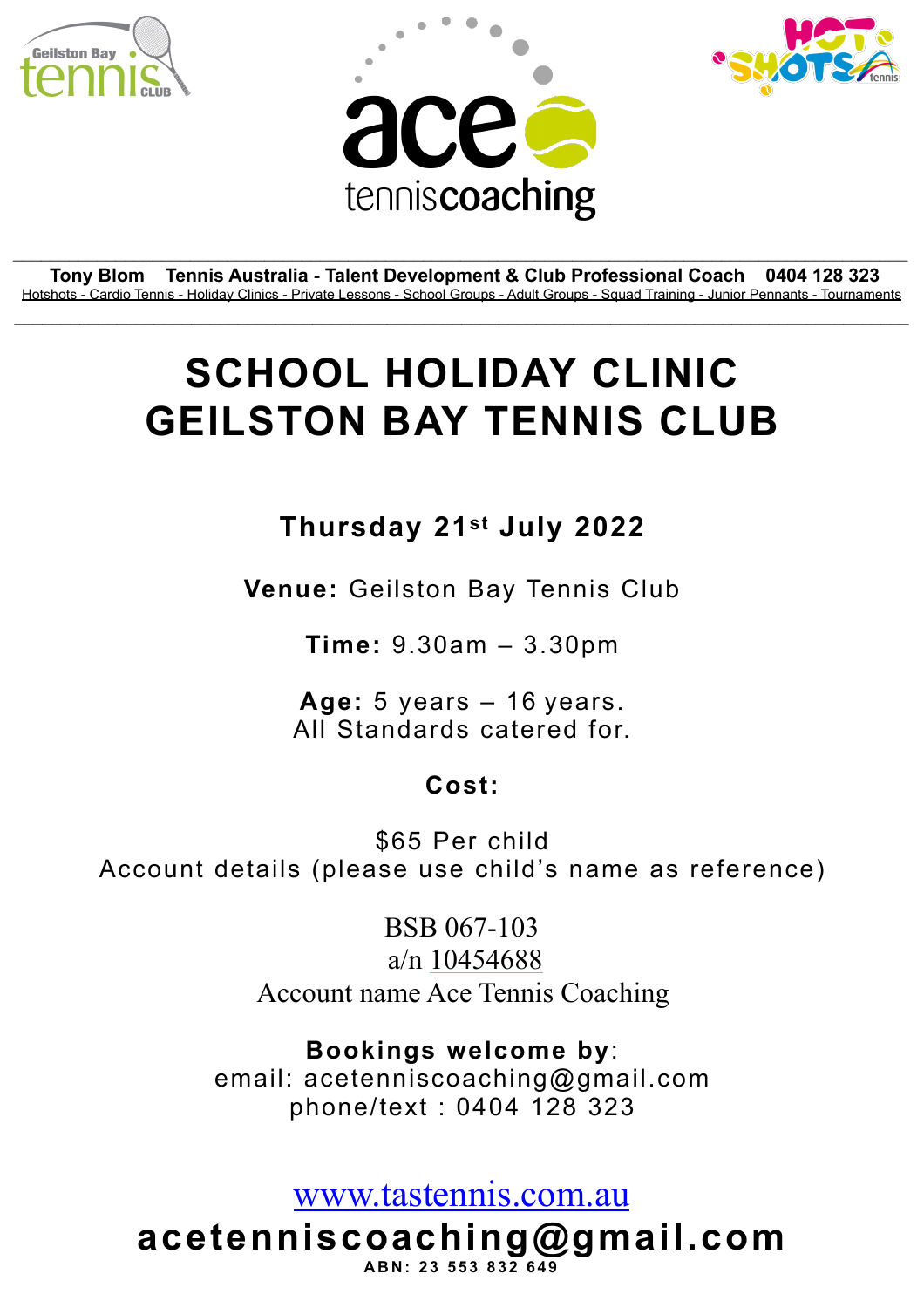





**Tony Blom Tennis Australia - Talent Development & Club Professional Coach 0404 128 323** Hotshots - Cardio Tennis - Holiday Clinics - Private Lessons - School Groups - Adult Groups - Squad Training - Junior Pennants - Tournaments  $\mathcal{L}_\mathcal{L} = \mathcal{L}_\mathcal{L} = \mathcal{L}_\mathcal{L} = \mathcal{L}_\mathcal{L} = \mathcal{L}_\mathcal{L} = \mathcal{L}_\mathcal{L} = \mathcal{L}_\mathcal{L} = \mathcal{L}_\mathcal{L} = \mathcal{L}_\mathcal{L} = \mathcal{L}_\mathcal{L} = \mathcal{L}_\mathcal{L} = \mathcal{L}_\mathcal{L} = \mathcal{L}_\mathcal{L} = \mathcal{L}_\mathcal{L} = \mathcal{L}_\mathcal{L} = \mathcal{L}_\mathcal{L} = \mathcal{L}_\mathcal{L}$ 

\_\_\_\_\_\_\_\_\_\_\_\_\_\_\_\_\_\_\_\_\_\_\_\_\_\_\_\_\_\_\_\_\_\_\_\_\_\_\_\_\_\_\_\_\_\_\_\_\_\_\_\_\_\_\_\_\_\_\_\_\_\_\_\_\_\_\_\_\_\_\_\_\_\_\_\_\_\_\_\_\_\_\_\_\_\_\_\_\_\_\_\_\_\_\_\_

## **SCHOOL HOLIDAY CLINIC GEILSTON BAY TENNIS CLUB**

## **Thursday 21st July 2022**

**Venue:** Geilston Bay Tennis Club

**Time:** 9.30am – 3.30pm

**Age:** 5 years – 16 years. All Standards catered for.

## **Cost:**

\$65 Per child Account details (please use child's name as reference)

> BSB 067-103 a/n [10454688](tel:10454688) Account name Ace Tennis Coaching

**Bookings welcome by**: email: acetenniscoaching@gmail.com phone/text : 0404 128 323

[www.tastennis.com.au](http://www.tastennis.com.au)

**acetenniscoaching@gmail.com ABN: 23 553 832 649**